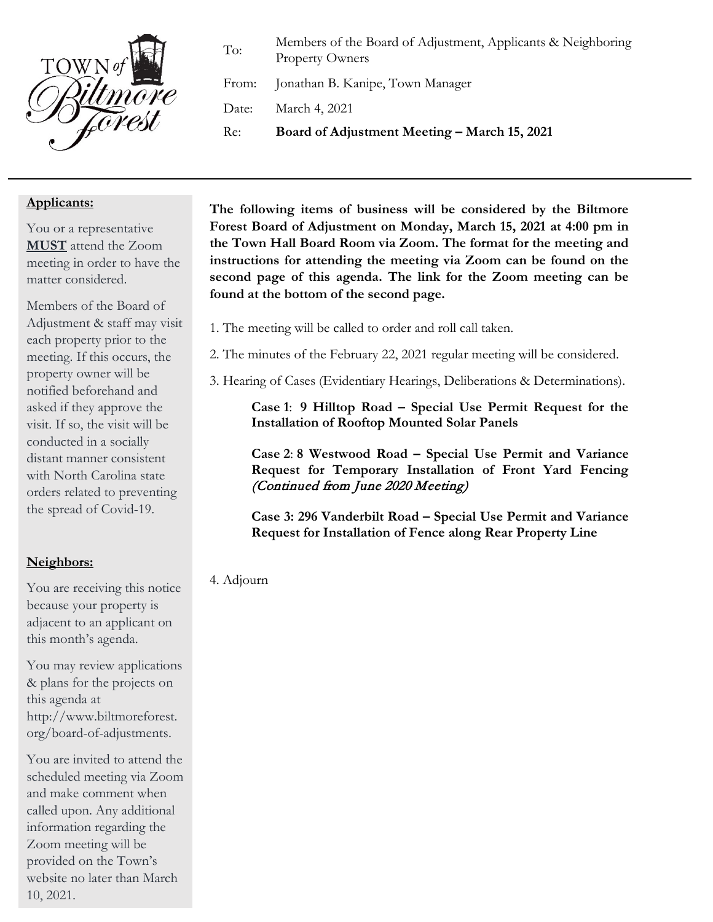

To: Members of the Board of Adjustment, Applicants & Neighboring Property Owners

From: Jonathan B. Kanipe, Town Manager

Date: March 4, 2021

Re: **Board of Adjustment Meeting – March 15, 2021**

#### **Applicants:**

You or a representative **MUST** attend the Zoom meeting in order to have the matter considered.

Members of the Board of Adjustment & staff may visit each property prior to the meeting. If this occurs, the property owner will be notified beforehand and asked if they approve the visit. If so, the visit will be conducted in a socially distant manner consistent with North Carolina state orders related to preventing the spread of Covid-19.

## **Neighbors:**

You are receiving this notice because your property is adjacent to an applicant on this month's agenda.

You may review applications & plans for the projects on this agenda at http://www.biltmoreforest. org/board-of-adjustments.

You are invited to attend the scheduled meeting via Zoom and make comment when called upon. Any additional information regarding the Zoom meeting will be provided on the Town's website no later than March 10, 2021.

**The following items of business will be considered by the Biltmore Forest Board of Adjustment on Monday, March 15, 2021 at 4:00 pm in the Town Hall Board Room via Zoom. The format for the meeting and instructions for attending the meeting via Zoom can be found on the second page of this agenda. The link for the Zoom meeting can be found at the bottom of the second page.**

- 1. The meeting will be called to order and roll call taken.
- 2. The minutes of the February 22, 2021 regular meeting will be considered.
- 3. Hearing of Cases (Evidentiary Hearings, Deliberations & Determinations).

**Case 1**: **9 Hilltop Road – Special Use Permit Request for the Installation of Rooftop Mounted Solar Panels**

**Case 2**: **8 Westwood Road – Special Use Permit and Variance Request for Temporary Installation of Front Yard Fencing** (Continued from June 2020 Meeting)

**Case 3: 296 Vanderbilt Road – Special Use Permit and Variance Request for Installation of Fence along Rear Property Line**

#### 4. Adjourn